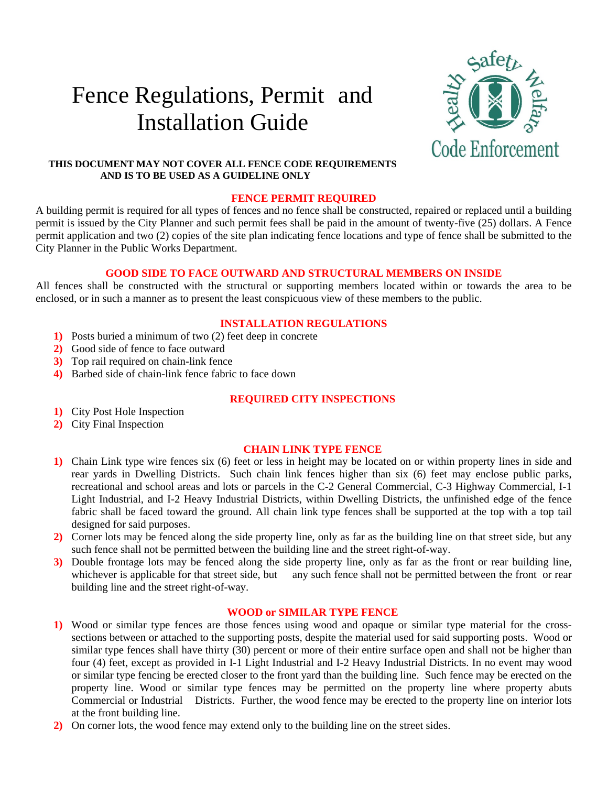# Fence Regulations, Permit and Installation Guide



## **THIS DOCUMENT MAY NOT COVER ALL FENCE CODE REQUIREMENTS AND IS TO BE USED AS A GUIDELINE ONLY**

#### **FENCE PERMIT REQUIRED**

A building permit is required for all types of fences and no fence shall be constructed, repaired or replaced until a building permit is issued by the City Planner and such permit fees shall be paid in the amount of twenty-five (25) dollars. A Fence permit application and two (2) copies of the site plan indicating fence locations and type of fence shall be submitted to the City Planner in the Public Works Department.

# **GOOD SIDE TO FACE OUTWARD AND STRUCTURAL MEMBERS ON INSIDE**

All fences shall be constructed with the structural or supporting members located within or towards the area to be enclosed, or in such a manner as to present the least conspicuous view of these members to the public.

# **INSTALLATION REGULATIONS**

- **1)** Posts buried a minimum of two (2) feet deep in concrete
- **2)** Good side of fence to face outward
- **3)** Top rail required on chain-link fence
- **4)** Barbed side of chain-link fence fabric to face down

# **REQUIRED CITY INSPECTIONS**

- **1)** City Post Hole Inspection
- **2)** City Final Inspection

#### **CHAIN LINK TYPE FENCE**

- **1)** Chain Link type wire fences six (6) feet or less in height may be located on or within property lines in side and rear yards in Dwelling Districts. Such chain link fences higher than six (6) feet may enclose public parks, recreational and school areas and lots or parcels in the C-2 General Commercial, C-3 Highway Commercial, I-1 Light Industrial, and I-2 Heavy Industrial Districts, within Dwelling Districts, the unfinished edge of the fence fabric shall be faced toward the ground. All chain link type fences shall be supported at the top with a top tail designed for said purposes.
- **2)** Corner lots may be fenced along the side property line, only as far as the building line on that street side, but any such fence shall not be permitted between the building line and the street right-of-way.
- **3)** Double frontage lots may be fenced along the side property line, only as far as the front or rear building line, whichever is applicable for that street side, but any such fence shall not be permitted between the front or rear building line and the street right-of-way.

## **WOOD or SIMILAR TYPE FENCE**

- **1)** Wood or similar type fences are those fences using wood and opaque or similar type material for the crosssections between or attached to the supporting posts, despite the material used for said supporting posts. Wood or similar type fences shall have thirty (30) percent or more of their entire surface open and shall not be higher than four (4) feet, except as provided in I-1 Light Industrial and I-2 Heavy Industrial Districts. In no event may wood or similar type fencing be erected closer to the front yard than the building line. Such fence may be erected on the property line. Wood or similar type fences may be permitted on the property line where property abuts Commercial or Industrial Districts. Further, the wood fence may be erected to the property line on interior lots at the front building line.
- **2)** On corner lots, the wood fence may extend only to the building line on the street sides.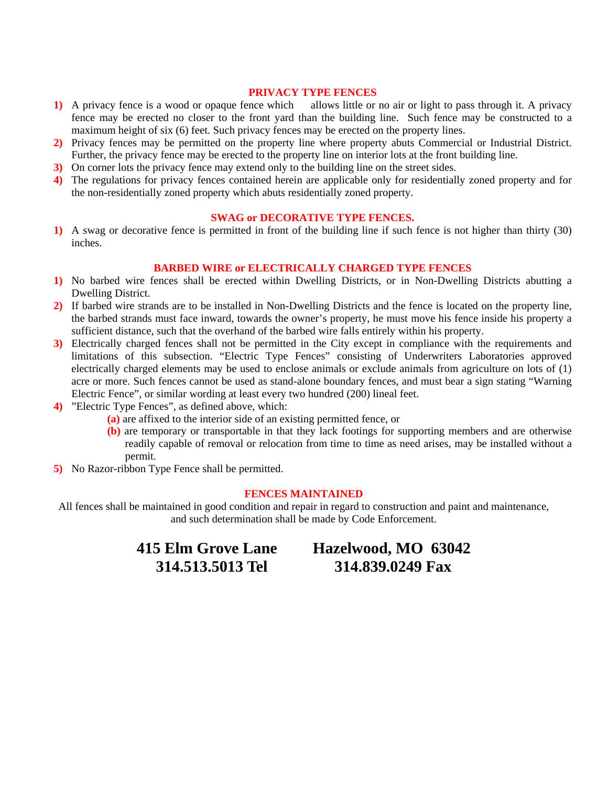#### **PRIVACY TYPE FENCES**

- **1)** A privacy fence is a wood or opaque fence which allows little or no air or light to pass through it. A privacy fence may be erected no closer to the front yard than the building line. Such fence may be constructed to a maximum height of six (6) feet. Such privacy fences may be erected on the property lines.
- **2)** Privacy fences may be permitted on the property line where property abuts Commercial or Industrial District. Further, the privacy fence may be erected to the property line on interior lots at the front building line.
- **3)** On corner lots the privacy fence may extend only to the building line on the street sides.
- **4)** The regulations for privacy fences contained herein are applicable only for residentially zoned property and for the non-residentially zoned property which abuts residentially zoned property.

# **SWAG or DECORATIVE TYPE FENCES.**

**1)** A swag or decorative fence is permitted in front of the building line if such fence is not higher than thirty (30) inches.

#### **BARBED WIRE or ELECTRICALLY CHARGED TYPE FENCES**

- **1)** No barbed wire fences shall be erected within Dwelling Districts, or in Non-Dwelling Districts abutting a Dwelling District.
- **2)** If barbed wire strands are to be installed in Non-Dwelling Districts and the fence is located on the property line, the barbed strands must face inward, towards the owner's property, he must move his fence inside his property a sufficient distance, such that the overhand of the barbed wire falls entirely within his property.
- **3)** Electrically charged fences shall not be permitted in the City except in compliance with the requirements and limitations of this subsection. "Electric Type Fences" consisting of Underwriters Laboratories approved electrically charged elements may be used to enclose animals or exclude animals from agriculture on lots of (1) acre or more. Such fences cannot be used as stand-alone boundary fences, and must bear a sign stating "Warning Electric Fence", or similar wording at least every two hundred (200) lineal feet.
- **4)** "Electric Type Fences", as defined above, which:
	- **(a)** are affixed to the interior side of an existing permitted fence, or
	- **(b)** are temporary or transportable in that they lack footings for supporting members and are otherwise readily capable of removal or relocation from time to time as need arises, may be installed without a permit.
- **5)** No Razor-ribbon Type Fence shall be permitted.

# **FENCES MAINTAINED**

All fences shall be maintained in good condition and repair in regard to construction and paint and maintenance, and such determination shall be made by Code Enforcement.

**415 Elm Grove Lane Hazelwood, MO 63042 314.513.5013 Tel 314.839.0249 Fax**